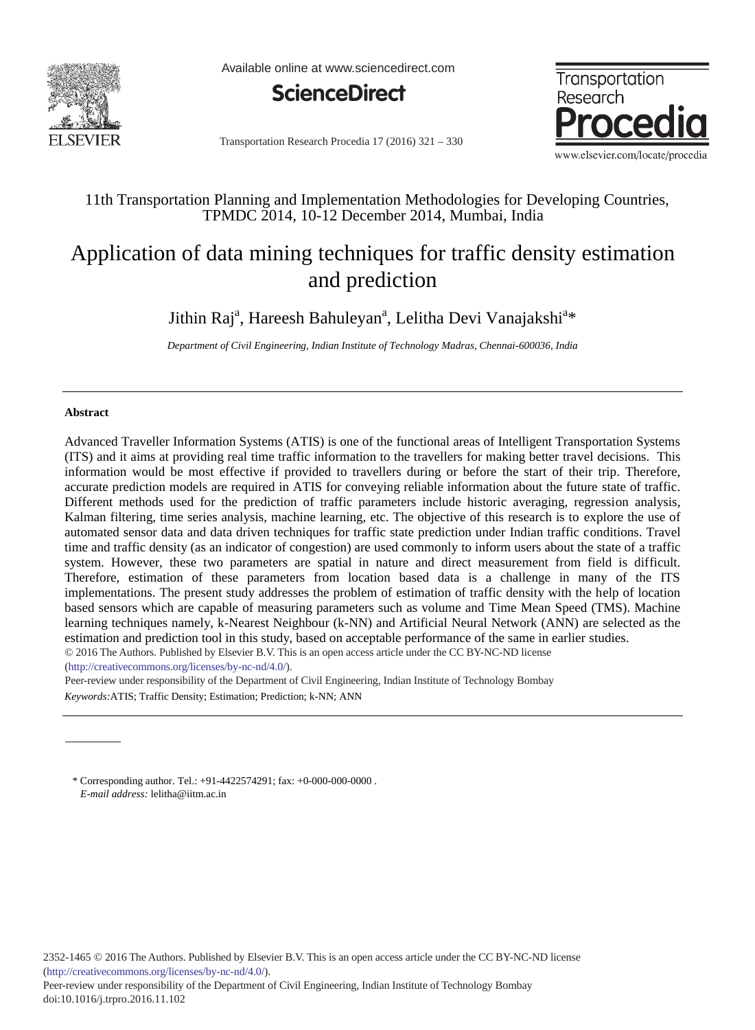

Available online at www.sciencedirect.com



Transportation Research Procedia  $17$  (2016)  $321 - 330$ 



## 11th Transportation Planning and Implementation Methodologies for Developing Countries, TPMDC 2014, 10-12 December 2014, Mumbai, India

# Application of data mining techniques for traffic density estimation and prediction

Jithin Raj<sup>a</sup>, Hareesh Bahuleyan<sup>a</sup>, Lelitha Devi Vanajakshi<sup>a</sup>\*

*Department of Civil Engineering, Indian Institute of Technology Madras, Chennai-600036, India* 

## **Abstract**

Advanced Traveller Information Systems (ATIS) is one of the functional areas of Intelligent Transportation Systems (ITS) and it aims at providing real time traffic information to the travellers for making better travel decisions. This information would be most effective if provided to travellers during or before the start of their trip. Therefore, accurate prediction models are required in ATIS for conveying reliable information about the future state of traffic. Different methods used for the prediction of traffic parameters include historic averaging, regression analysis, Kalman filtering, time series analysis, machine learning, etc. The objective of this research is to explore the use of automated sensor data and data driven techniques for traffic state prediction under Indian traffic conditions. Travel time and traffic density (as an indicator of congestion) are used commonly to inform users about the state of a traffic system. However, these two parameters are spatial in nature and direct measurement from field is difficult. Therefore, estimation of these parameters from location based data is a challenge in many of the ITS implementations. The present study addresses the problem of estimation of traffic density with the help of location based sensors which are capable of measuring parameters such as volume and Time Mean Speed (TMS). Machine learning techniques namely, k-Nearest Neighbour (k-NN) and Artificial Neural Network (ANN) are selected as the estimation and prediction tool in this study, based on acceptable performance of the same in earlier studies.

© 2015 The Authors. Published by Elsevier B.V. © 2016 The Authors. Published by Elsevier B.V. This is an open access article under the CC BY-NC-ND license (http://creativecommons.org/licenses/by-nc-nd/4.0/).

*Keywords:*ATIS; Traffic Density; Estimation; Prediction; k-NN; ANN Peer-review under responsibility of the Department of Civil Engineering, Indian Institute of Technology Bombay

\* Corresponding author. Tel.: +91-4422574291; fax: +0-000-000-0000 . *E-mail address:* lelitha@iitm.ac.in

2352-1465 © 2016 The Authors. Published by Elsevier B.V. This is an open access article under the CC BY-NC-ND license (http://creativecommons.org/licenses/by-nc-nd/4.0/).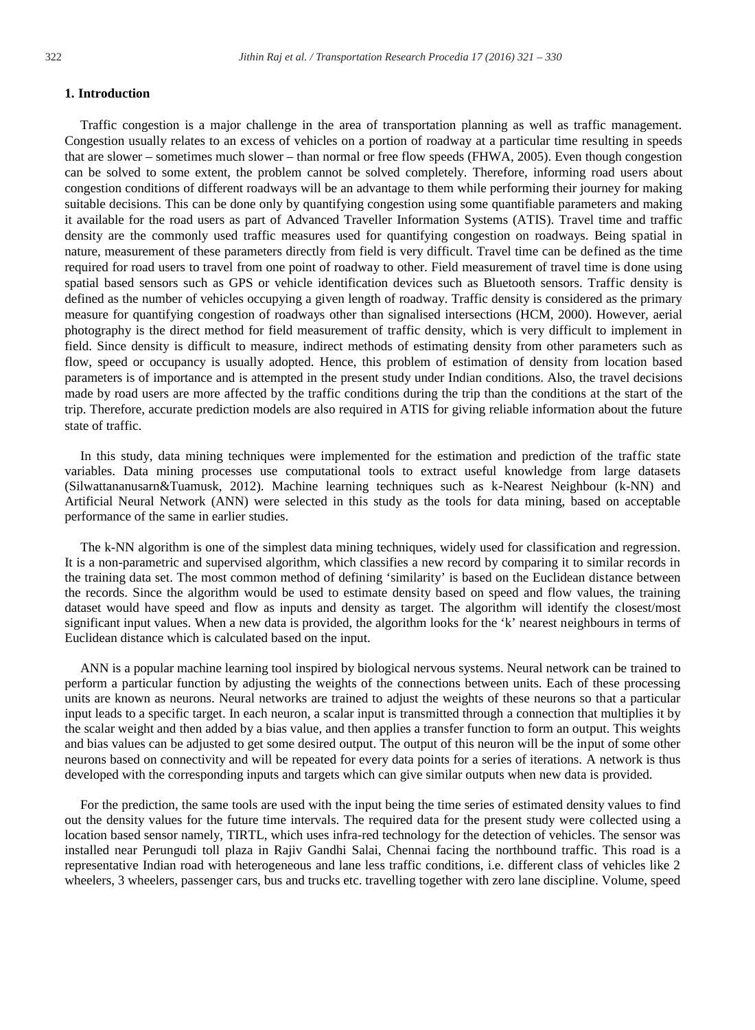## **1. Introduction**

Traffic congestion is a major challenge in the area of transportation planning as well as traffic management. Congestion usually relates to an excess of vehicles on a portion of roadway at a particular time resulting in speeds that are slower – sometimes much slower – than normal or free flow speeds (FHWA, 2005). Even though congestion can be solved to some extent, the problem cannot be solved completely. Therefore, informing road users about congestion conditions of different roadways will be an advantage to them while performing their journey for making suitable decisions. This can be done only by quantifying congestion using some quantifiable parameters and making it available for the road users as part of Advanced Traveller Information Systems (ATIS). Travel time and traffic density are the commonly used traffic measures used for quantifying congestion on roadways. Being spatial in nature, measurement of these parameters directly from field is very difficult. Travel time can be defined as the time required for road users to travel from one point of roadway to other. Field measurement of travel time is done using spatial based sensors such as GPS or vehicle identification devices such as Bluetooth sensors. Traffic density is defined as the number of vehicles occupying a given length of roadway. Traffic density is considered as the primary measure for quantifying congestion of roadways other than signalised intersections (HCM, 2000). However, aerial photography is the direct method for field measurement of traffic density, which is very difficult to implement in field. Since density is difficult to measure, indirect methods of estimating density from other parameters such as flow, speed or occupancy is usually adopted. Hence, this problem of estimation of density from location based parameters is of importance and is attempted in the present study under Indian conditions. Also, the travel decisions made by road users are more affected by the traffic conditions during the trip than the conditions at the start of the trip. Therefore, accurate prediction models are also required in ATIS for giving reliable information about the future state of traffic.

In this study, data mining techniques were implemented for the estimation and prediction of the traffic state variables. Data mining processes use computational tools to extract useful knowledge from large datasets (Silwattananusarn&Tuamusk, 2012). Machine learning techniques such as k-Nearest Neighbour (k-NN) and Artificial Neural Network (ANN) were selected in this study as the tools for data mining, based on acceptable performance of the same in earlier studies.

The k-NN algorithm is one of the simplest data mining techniques, widely used for classification and regression. It is a non-parametric and supervised algorithm, which classifies a new record by comparing it to similar records in the training data set. The most common method of defining 'similarity' is based on the Euclidean distance between the records. Since the algorithm would be used to estimate density based on speed and flow values, the training dataset would have speed and flow as inputs and density as target. The algorithm will identify the closest/most significant input values. When a new data is provided, the algorithm looks for the 'k' nearest neighbours in terms of Euclidean distance which is calculated based on the input.

ANN is a popular machine learning tool inspired by biological nervous systems. Neural network can be trained to perform a particular function by adjusting the weights of the connections between units. Each of these processing units are known as neurons. Neural networks are trained to adjust the weights of these neurons so that a particular input leads to a specific target. In each neuron, a scalar input is transmitted through a connection that multiplies it by the scalar weight and then added by a bias value, and then applies a transfer function to form an output. This weights and bias values can be adjusted to get some desired output. The output of this neuron will be the input of some other neurons based on connectivity and will be repeated for every data points for a series of iterations. A network is thus developed with the corresponding inputs and targets which can give similar outputs when new data is provided.

For the prediction, the same tools are used with the input being the time series of estimated density values to find out the density values for the future time intervals. The required data for the present study were collected using a location based sensor namely, TIRTL, which uses infra-red technology for the detection of vehicles. The sensor was installed near Perungudi toll plaza in Rajiv Gandhi Salai, Chennai facing the northbound traffic. This road is a representative Indian road with heterogeneous and lane less traffic conditions, i.e. different class of vehicles like 2 wheelers, 3 wheelers, passenger cars, bus and trucks etc. travelling together with zero lane discipline. Volume, speed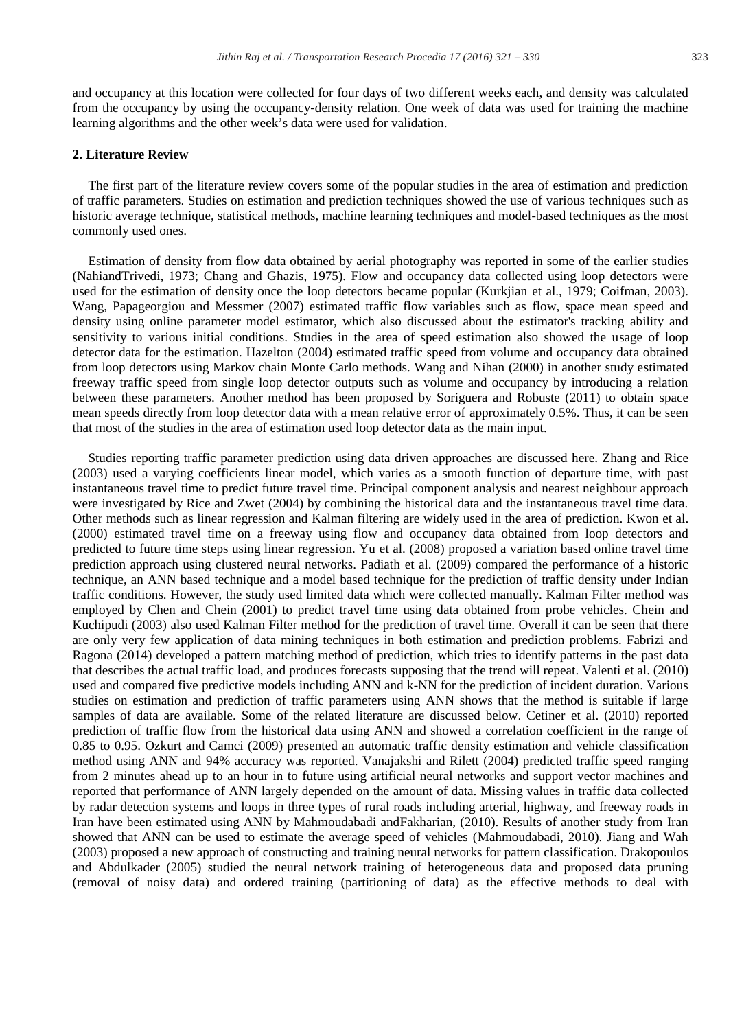and occupancy at this location were collected for four days of two different weeks each, and density was calculated from the occupancy by using the occupancy-density relation. One week of data was used for training the machine learning algorithms and the other week's data were used for validation.

## **2. Literature Review**

The first part of the literature review covers some of the popular studies in the area of estimation and prediction of traffic parameters. Studies on estimation and prediction techniques showed the use of various techniques such as historic average technique, statistical methods, machine learning techniques and model-based techniques as the most commonly used ones.

Estimation of density from flow data obtained by aerial photography was reported in some of the earlier studies (NahiandTrivedi, 1973; Chang and Ghazis, 1975). Flow and occupancy data collected using loop detectors were used for the estimation of density once the loop detectors became popular (Kurkjian et al., 1979; Coifman, 2003). Wang, Papageorgiou and Messmer (2007) estimated traffic flow variables such as flow, space mean speed and density using online parameter model estimator, which also discussed about the estimator's tracking ability and sensitivity to various initial conditions. Studies in the area of speed estimation also showed the usage of loop detector data for the estimation. Hazelton (2004) estimated traffic speed from volume and occupancy data obtained from loop detectors using Markov chain Monte Carlo methods. Wang and Nihan (2000) in another study estimated freeway traffic speed from single loop detector outputs such as volume and occupancy by introducing a relation between these parameters. Another method has been proposed by Soriguera and Robuste (2011) to obtain space mean speeds directly from loop detector data with a mean relative error of approximately 0.5%. Thus, it can be seen that most of the studies in the area of estimation used loop detector data as the main input.

Studies reporting traffic parameter prediction using data driven approaches are discussed here. Zhang and Rice (2003) used a varying coefficients linear model, which varies as a smooth function of departure time, with past instantaneous travel time to predict future travel time. Principal component analysis and nearest neighbour approach were investigated by Rice and Zwet (2004) by combining the historical data and the instantaneous travel time data. Other methods such as linear regression and Kalman filtering are widely used in the area of prediction. Kwon et al. (2000) estimated travel time on a freeway using flow and occupancy data obtained from loop detectors and predicted to future time steps using linear regression. Yu et al. (2008) proposed a variation based online travel time prediction approach using clustered neural networks. Padiath et al. (2009) compared the performance of a historic technique, an ANN based technique and a model based technique for the prediction of traffic density under Indian traffic conditions. However, the study used limited data which were collected manually. Kalman Filter method was employed by Chen and Chein (2001) to predict travel time using data obtained from probe vehicles. Chein and Kuchipudi (2003) also used Kalman Filter method for the prediction of travel time. Overall it can be seen that there are only very few application of data mining techniques in both estimation and prediction problems. Fabrizi and Ragona (2014) developed a pattern matching method of prediction, which tries to identify patterns in the past data that describes the actual traffic load, and produces forecasts supposing that the trend will repeat. Valenti et al. (2010) used and compared five predictive models including ANN and k-NN for the prediction of incident duration. Various studies on estimation and prediction of traffic parameters using ANN shows that the method is suitable if large samples of data are available. Some of the related literature are discussed below. Cetiner et al. (2010) reported prediction of traffic flow from the historical data using ANN and showed a correlation coefficient in the range of 0.85 to 0.95. Ozkurt and Camci (2009) presented an automatic traffic density estimation and vehicle classification method using ANN and 94% accuracy was reported. Vanajakshi and Rilett (2004) predicted traffic speed ranging from 2 minutes ahead up to an hour in to future using artificial neural networks and support vector machines and reported that performance of ANN largely depended on the amount of data. Missing values in traffic data collected by radar detection systems and loops in three types of rural roads including arterial, highway, and freeway roads in Iran have been estimated using ANN by Mahmoudabadi andFakharian, (2010). Results of another study from Iran showed that ANN can be used to estimate the average speed of vehicles (Mahmoudabadi, 2010). Jiang and Wah (2003) proposed a new approach of constructing and training neural networks for pattern classification. Drakopoulos and Abdulkader (2005) studied the neural network training of heterogeneous data and proposed data pruning (removal of noisy data) and ordered training (partitioning of data) as the effective methods to deal with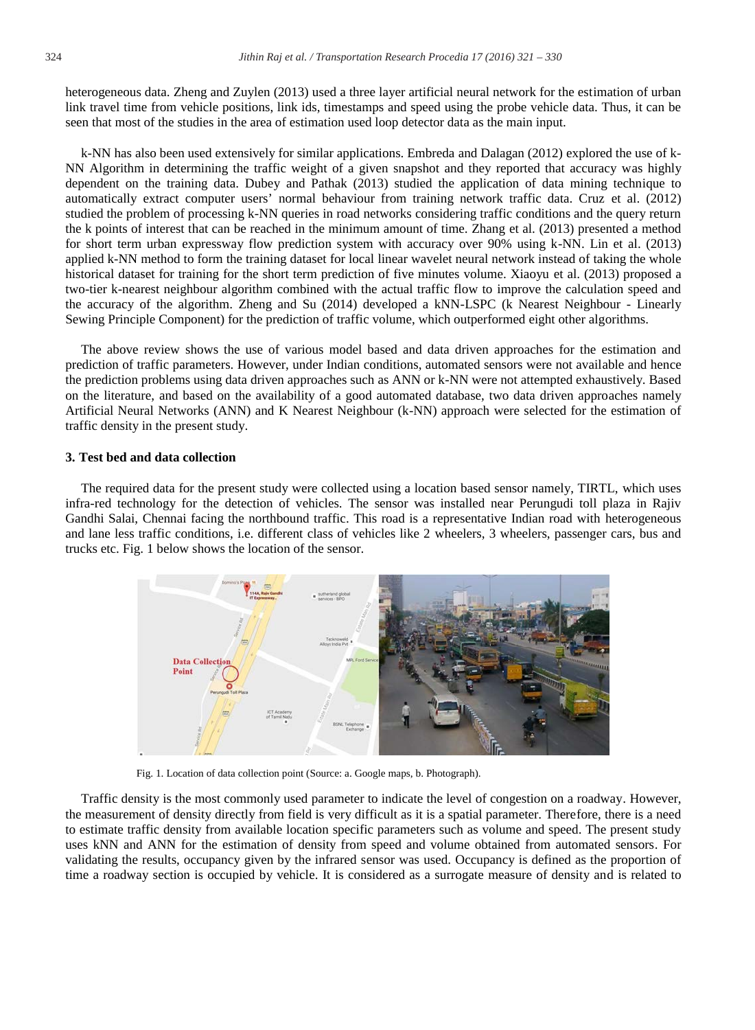heterogeneous data. Zheng and Zuylen (2013) used a three layer artificial neural network for the estimation of urban link travel time from vehicle positions, link ids, timestamps and speed using the probe vehicle data. Thus, it can be seen that most of the studies in the area of estimation used loop detector data as the main input.

k-NN has also been used extensively for similar applications. Embreda and Dalagan (2012) explored the use of k-NN Algorithm in determining the traffic weight of a given snapshot and they reported that accuracy was highly dependent on the training data. Dubey and Pathak (2013) studied the application of data mining technique to automatically extract computer users' normal behaviour from training network traffic data. Cruz et al. (2012) studied the problem of processing k-NN queries in road networks considering traffic conditions and the query return the k points of interest that can be reached in the minimum amount of time. Zhang et al. (2013) presented a method for short term urban expressway flow prediction system with accuracy over 90% using k-NN. Lin et al. (2013) applied k-NN method to form the training dataset for local linear wavelet neural network instead of taking the whole historical dataset for training for the short term prediction of five minutes volume. Xiaoyu et al. (2013) proposed a two-tier k-nearest neighbour algorithm combined with the actual traffic flow to improve the calculation speed and the accuracy of the algorithm. Zheng and Su (2014) developed a kNN-LSPC (k Nearest Neighbour - Linearly Sewing Principle Component) for the prediction of traffic volume, which outperformed eight other algorithms.

The above review shows the use of various model based and data driven approaches for the estimation and prediction of traffic parameters. However, under Indian conditions, automated sensors were not available and hence the prediction problems using data driven approaches such as ANN or k-NN were not attempted exhaustively. Based on the literature, and based on the availability of a good automated database, two data driven approaches namely Artificial Neural Networks (ANN) and K Nearest Neighbour (k-NN) approach were selected for the estimation of traffic density in the present study.

## **3. Test bed and data collection**

The required data for the present study were collected using a location based sensor namely, TIRTL, which uses infra-red technology for the detection of vehicles. The sensor was installed near Perungudi toll plaza in Rajiv Gandhi Salai, Chennai facing the northbound traffic. This road is a representative Indian road with heterogeneous and lane less traffic conditions, i.e. different class of vehicles like 2 wheelers, 3 wheelers, passenger cars, bus and trucks etc. Fig. 1 below shows the location of the sensor.



Fig. 1. Location of data collection point (Source: a. Google maps, b. Photograph).

Traffic density is the most commonly used parameter to indicate the level of congestion on a roadway. However, the measurement of density directly from field is very difficult as it is a spatial parameter. Therefore, there is a need to estimate traffic density from available location specific parameters such as volume and speed. The present study uses kNN and ANN for the estimation of density from speed and volume obtained from automated sensors. For validating the results, occupancy given by the infrared sensor was used. Occupancy is defined as the proportion of time a roadway section is occupied by vehicle. It is considered as a surrogate measure of density and is related to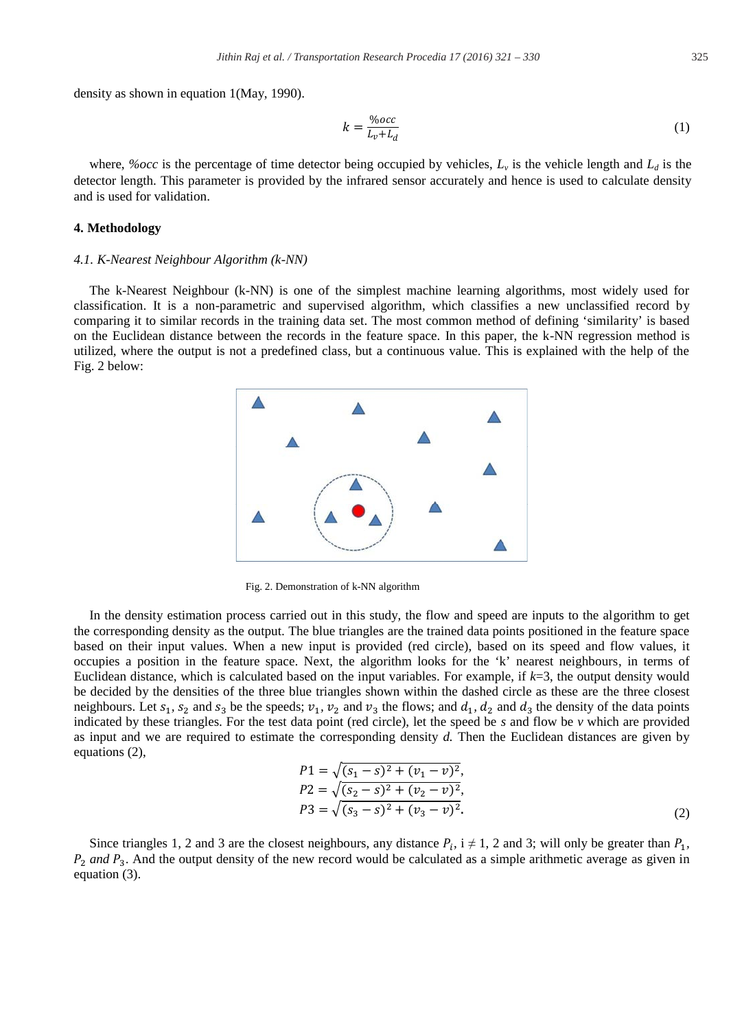density as shown in equation 1(May, 1990).

$$
k = \frac{\%occ}{L_v + L_d} \tag{1}
$$

where, *%occ* is the percentage of time detector being occupied by vehicles,  $L_v$  is the vehicle length and  $L_d$  is the detector length. This parameter is provided by the infrared sensor accurately and hence is used to calculate density and is used for validation.

## **4. Methodology**

#### *4.1. K-Nearest Neighbour Algorithm (k-NN)*

The k-Nearest Neighbour (k-NN) is one of the simplest machine learning algorithms, most widely used for classification. It is a non-parametric and supervised algorithm, which classifies a new unclassified record by comparing it to similar records in the training data set. The most common method of defining 'similarity' is based on the Euclidean distance between the records in the feature space. In this paper, the k-NN regression method is utilized, where the output is not a predefined class, but a continuous value. This is explained with the help of the Fig. 2 below:



Fig. 2. Demonstration of k-NN algorithm

In the density estimation process carried out in this study, the flow and speed are inputs to the algorithm to get the corresponding density as the output. The blue triangles are the trained data points positioned in the feature space based on their input values. When a new input is provided (red circle), based on its speed and flow values, it occupies a position in the feature space. Next, the algorithm looks for the 'k' nearest neighbours, in terms of Euclidean distance, which is calculated based on the input variables. For example, if *k*=3, the output density would be decided by the densities of the three blue triangles shown within the dashed circle as these are the three closest neighbours. Let  $s_1$ ,  $s_2$  and  $s_3$  be the speeds;  $v_1$ ,  $v_2$  and  $v_3$  the flows; and  $d_1$ ,  $d_2$  and  $d_3$  the density of the data points indicated by these triangles. For the test data point (red circle), let the speed be *s* and flow be *v* which are provided as input and we are required to estimate the corresponding density *d.* Then the Euclidean distances are given by equations (2),

$$
P1 = \sqrt{(s_1 - s)^2 + (v_1 - v)^2},
$$
  
\n
$$
P2 = \sqrt{(s_2 - s)^2 + (v_2 - v)^2},
$$
  
\n
$$
P3 = \sqrt{(s_3 - s)^2 + (v_3 - v)^2}.
$$
\n(2)

Since triangles 1, 2 and 3 are the closest neighbours, any distance  $P_i$ ,  $i \neq 1$ , 2 and 3; will only be greater than  $P_i$ ,  $P_2$  and  $P_3$ . And the output density of the new record would be calculated as a simple arithmetic average as given in equation (3).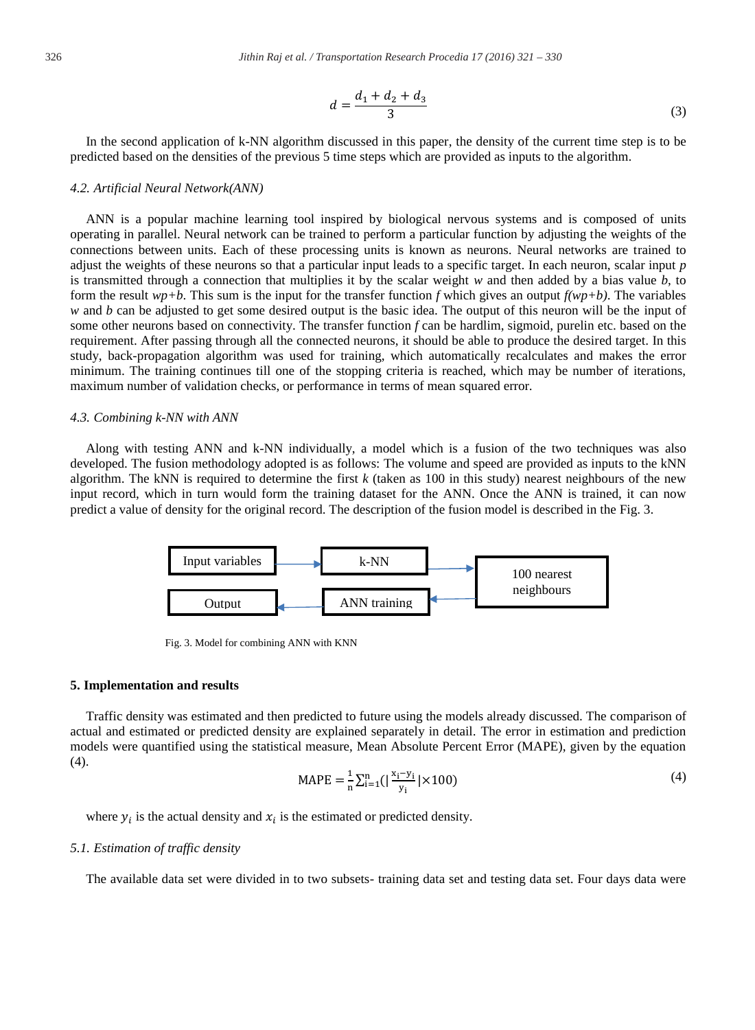$$
d = \frac{d_1 + d_2 + d_3}{3} \tag{3}
$$

In the second application of k-NN algorithm discussed in this paper, the density of the current time step is to be predicted based on the densities of the previous 5 time steps which are provided as inputs to the algorithm.

#### *4.2. Artificial Neural Network(ANN)*

ANN is a popular machine learning tool inspired by biological nervous systems and is composed of units operating in parallel. Neural network can be trained to perform a particular function by adjusting the weights of the connections between units. Each of these processing units is known as neurons. Neural networks are trained to adjust the weights of these neurons so that a particular input leads to a specific target. In each neuron, scalar input *p*  is transmitted through a connection that multiplies it by the scalar weight *w* and then added by a bias value *b*, to form the result *wp+b*. This sum is the input for the transfer function *f* which gives an output *f(wp+b)*. The variables *w* and *b* can be adjusted to get some desired output is the basic idea. The output of this neuron will be the input of some other neurons based on connectivity. The transfer function *f* can be hardlim, sigmoid, purelin etc. based on the requirement. After passing through all the connected neurons, it should be able to produce the desired target. In this study, back-propagation algorithm was used for training, which automatically recalculates and makes the error minimum. The training continues till one of the stopping criteria is reached, which may be number of iterations, maximum number of validation checks, or performance in terms of mean squared error.

#### *4.3. Combining k-NN with ANN*

Along with testing ANN and k-NN individually, a model which is a fusion of the two techniques was also developed. The fusion methodology adopted is as follows: The volume and speed are provided as inputs to the kNN algorithm. The kNN is required to determine the first *k* (taken as 100 in this study) nearest neighbours of the new input record, which in turn would form the training dataset for the ANN. Once the ANN is trained, it can now predict a value of density for the original record. The description of the fusion model is described in the Fig. 3.



Fig. 3. Model for combining ANN with KNN

#### **5. Implementation and results**

Traffic density was estimated and then predicted to future using the models already discussed. The comparison of actual and estimated or predicted density are explained separately in detail. The error in estimation and prediction models were quantified using the statistical measure, Mean Absolute Percent Error (MAPE), given by the equation (4).

$$
MAPE = \frac{1}{n} \sum_{i=1}^{n} (|\frac{x_i - y_i}{y_i}| \times 100)
$$
 (4)

where  $y_i$  is the actual density and  $x_i$  is the estimated or predicted density.

#### *5.1. Estimation of traffic density*

The available data set were divided in to two subsets- training data set and testing data set. Four days data were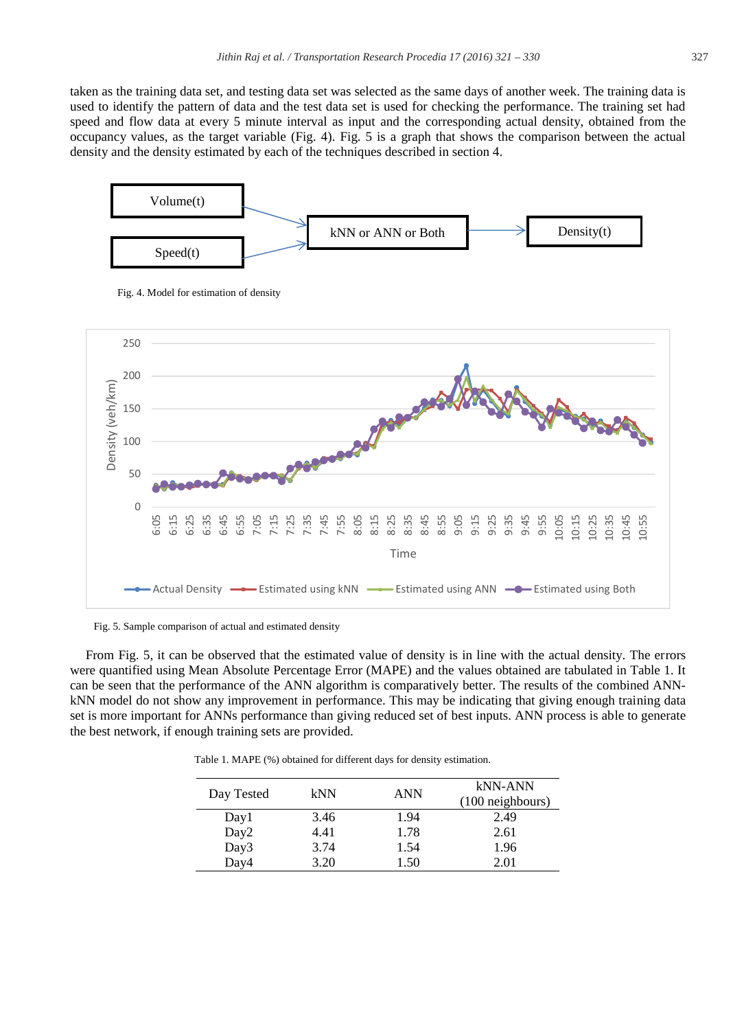taken as the training data set, and testing data set was selected as the same days of another week. The training data is used to identify the pattern of data and the test data set is used for checking the performance. The training set had speed and flow data at every 5 minute interval as input and the corresponding actual density, obtained from the occupancy values, as the target variable (Fig. 4). Fig. 5 is a graph that shows the comparison between the actual density and the density estimated by each of the techniques described in section 4.



Fig. 5. Sample comparison of actual and estimated density

From Fig. 5, it can be observed that the estimated value of density is in line with the actual density. The errors were quantified using Mean Absolute Percentage Error (MAPE) and the values obtained are tabulated in Table 1. It can be seen that the performance of the ANN algorithm is comparatively better. The results of the combined ANNkNN model do not show any improvement in performance. This may be indicating that giving enough training data set is more important for ANNs performance than giving reduced set of best inputs. ANN process is able to generate the best network, if enough training sets are provided.

Table 1. MAPE (%) obtained for different days for density estimation.

| Day Tested | kNN  | <b>ANN</b> | kNN-ANN<br>(100 neighbours) |
|------------|------|------------|-----------------------------|
| Day1       | 3.46 | 1.94       | 2.49                        |
| Day2       | 4.41 | 1.78       | 2.61                        |
| Day3       | 3.74 | 1.54       | 1.96                        |
| Day4       | 3.20 | 1.50       | 2.01                        |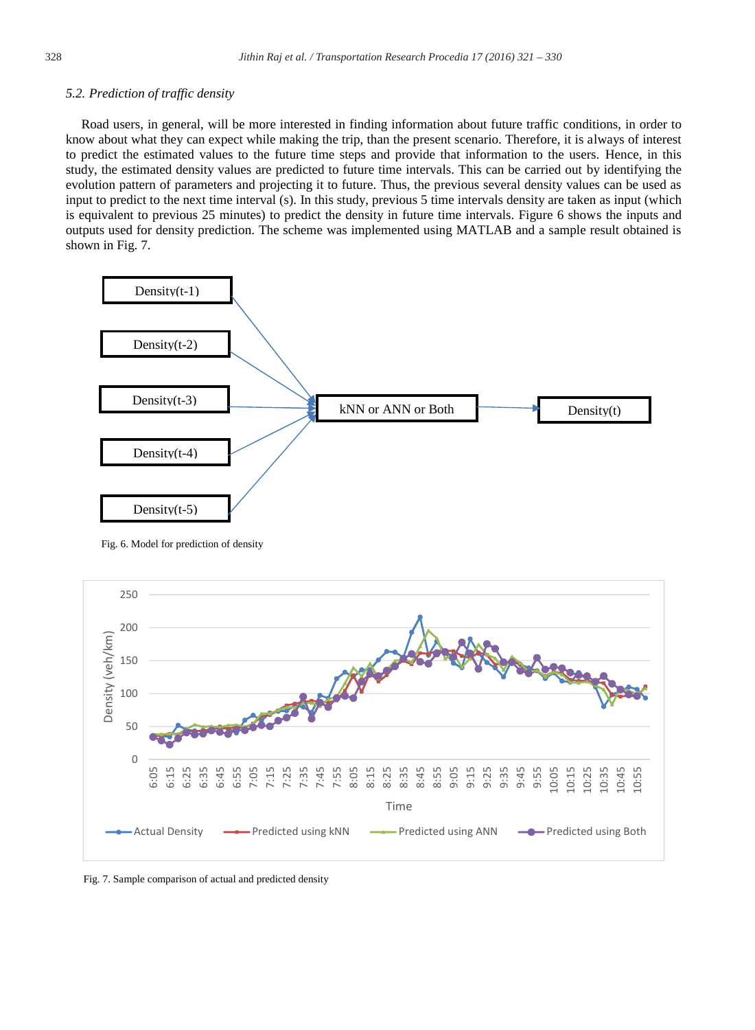## *5.2. Prediction of traffic density*

Road users, in general, will be more interested in finding information about future traffic conditions, in order to know about what they can expect while making the trip, than the present scenario. Therefore, it is always of interest to predict the estimated values to the future time steps and provide that information to the users. Hence, in this study, the estimated density values are predicted to future time intervals. This can be carried out by identifying the evolution pattern of parameters and projecting it to future. Thus, the previous several density values can be used as input to predict to the next time interval (s). In this study, previous 5 time intervals density are taken as input (which is equivalent to previous 25 minutes) to predict the density in future time intervals. Figure 6 shows the inputs and outputs used for density prediction. The scheme was implemented using MATLAB and a sample result obtained is shown in Fig. 7.



Fig. 6. Model for prediction of density



Fig. 7. Sample comparison of actual and predicted density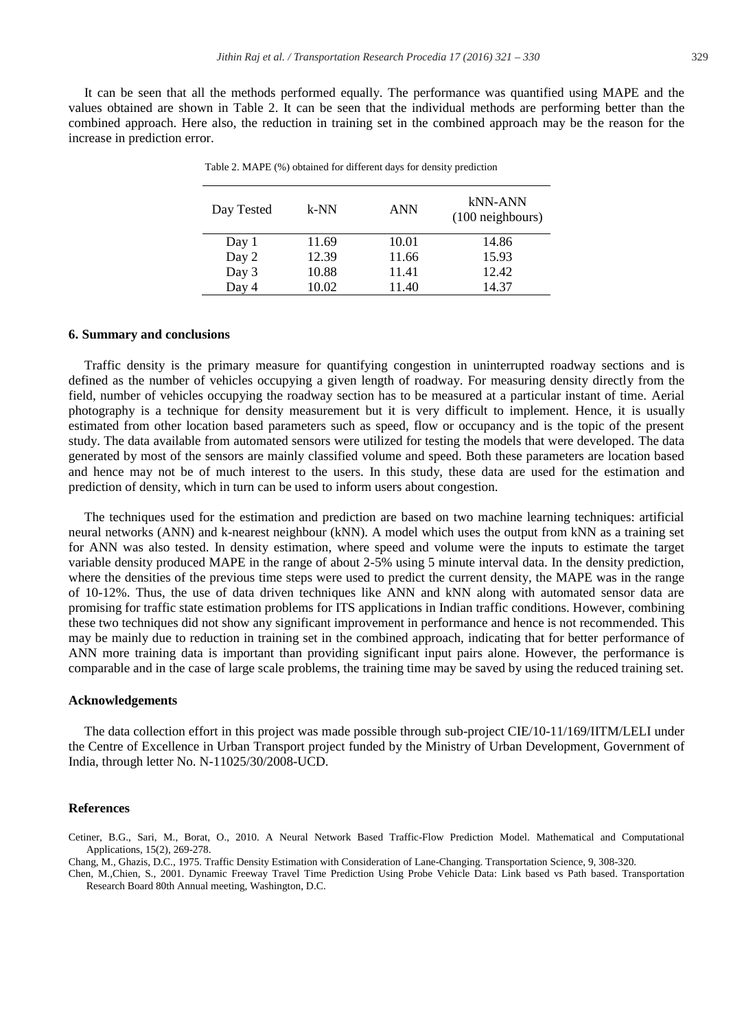It can be seen that all the methods performed equally. The performance was quantified using MAPE and the values obtained are shown in Table 2. It can be seen that the individual methods are performing better than the combined approach. Here also, the reduction in training set in the combined approach may be the reason for the increase in prediction error.

| Day Tested | k-NN  | <b>ANN</b> | kNN-ANN<br>$(100$ neighbours) |
|------------|-------|------------|-------------------------------|
| Day 1      | 11.69 | 10.01      | 14.86                         |
| Day 2      | 12.39 | 11.66      | 15.93                         |
| Day 3      | 10.88 | 11.41      | 12.42                         |
| Day 4      | 10.02 | 11.40      | 14.37                         |

Table 2. MAPE (%) obtained for different days for density prediction

#### **6. Summary and conclusions**

Traffic density is the primary measure for quantifying congestion in uninterrupted roadway sections and is defined as the number of vehicles occupying a given length of roadway. For measuring density directly from the field, number of vehicles occupying the roadway section has to be measured at a particular instant of time. Aerial photography is a technique for density measurement but it is very difficult to implement. Hence, it is usually estimated from other location based parameters such as speed, flow or occupancy and is the topic of the present study. The data available from automated sensors were utilized for testing the models that were developed. The data generated by most of the sensors are mainly classified volume and speed. Both these parameters are location based and hence may not be of much interest to the users. In this study, these data are used for the estimation and prediction of density, which in turn can be used to inform users about congestion.

The techniques used for the estimation and prediction are based on two machine learning techniques: artificial neural networks (ANN) and k-nearest neighbour (kNN). A model which uses the output from kNN as a training set for ANN was also tested. In density estimation, where speed and volume were the inputs to estimate the target variable density produced MAPE in the range of about 2-5% using 5 minute interval data. In the density prediction, where the densities of the previous time steps were used to predict the current density, the MAPE was in the range of 10-12%. Thus, the use of data driven techniques like ANN and kNN along with automated sensor data are promising for traffic state estimation problems for ITS applications in Indian traffic conditions. However, combining these two techniques did not show any significant improvement in performance and hence is not recommended. This may be mainly due to reduction in training set in the combined approach, indicating that for better performance of ANN more training data is important than providing significant input pairs alone. However, the performance is comparable and in the case of large scale problems, the training time may be saved by using the reduced training set.

## **Acknowledgements**

The data collection effort in this project was made possible through sub-project CIE/10-11/169/IITM/LELI under the Centre of Excellence in Urban Transport project funded by the Ministry of Urban Development, Government of India, through letter No. N-11025/30/2008-UCD.

## **References**

Cetiner, B.G., Sari, M., Borat, O., 2010. A Neural Network Based Traffic-Flow Prediction Model. Mathematical and Computational Applications, 15(2), 269-278.

Chang, M., Ghazis, D.C., 1975. Traffic Density Estimation with Consideration of Lane-Changing. Transportation Science, 9, 308-320.

Chen, M.,Chien, S., 2001. Dynamic Freeway Travel Time Prediction Using Probe Vehicle Data: Link based vs Path based. Transportation Research Board 80th Annual meeting, Washington, D.C.